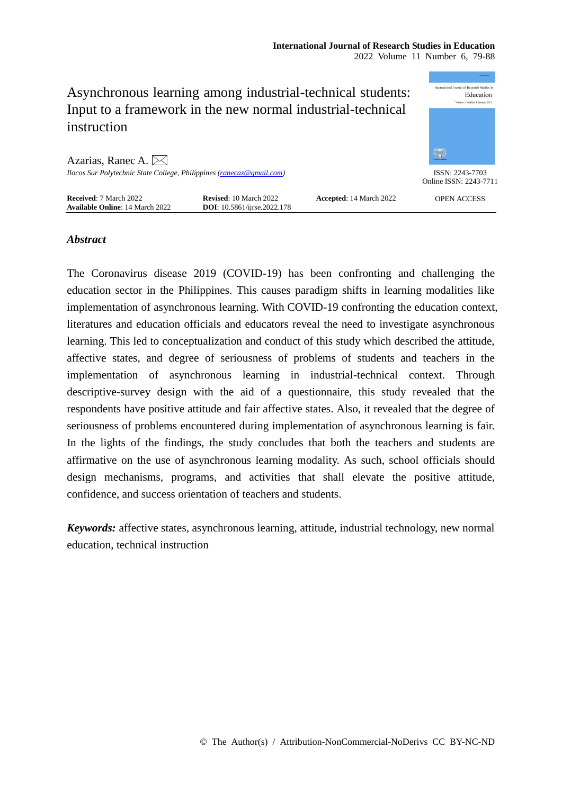|                                                                                                                           |                                                                       |                                | Anna Cast Pho                             |
|---------------------------------------------------------------------------------------------------------------------------|-----------------------------------------------------------------------|--------------------------------|-------------------------------------------|
| Asynchronous learning among industrial-technical students:<br>Input to a framework in the new normal industrial-technical | of Research Studies in<br>Education<br>Volume 1 Number 1 January 2012 |                                |                                           |
| instruction                                                                                                               |                                                                       |                                |                                           |
| Azarias, Ranec A. $\boxtimes$                                                                                             |                                                                       |                                | 鑑                                         |
| Ilocos Sur Polytechnic State College, Philippines (ranecaz@gmail.com)                                                     |                                                                       |                                | ISSN: 2243-7703<br>Online ISSN: 2243-7711 |
| Received: 7 March 2022<br><b>Available Online: 14 March 2022</b>                                                          | <b>Revised:</b> 10 March 2022<br><b>DOI</b> : 10.5861/ijrse.2022.178  | <b>Accepted: 14 March 2022</b> | <b>OPEN ACCESS</b>                        |

## *Abstract*

The Coronavirus disease 2019 (COVID-19) has been confronting and challenging the education sector in the Philippines. This causes paradigm shifts in learning modalities like implementation of asynchronous learning. With COVID-19 confronting the education context, literatures and education officials and educators reveal the need to investigate asynchronous learning. This led to conceptualization and conduct of this study which described the attitude, affective states, and degree of seriousness of problems of students and teachers in the implementation of asynchronous learning in industrial-technical context. Through descriptive-survey design with the aid of a questionnaire, this study revealed that the respondents have positive attitude and fair affective states. Also, it revealed that the degree of seriousness of problems encountered during implementation of asynchronous learning is fair. In the lights of the findings, the study concludes that both the teachers and students are affirmative on the use of asynchronous learning modality. As such, school officials should design mechanisms, programs, and activities that shall elevate the positive attitude, confidence, and success orientation of teachers and students.

*Keywords:* affective states, asynchronous learning, attitude, industrial technology, new normal education, technical instruction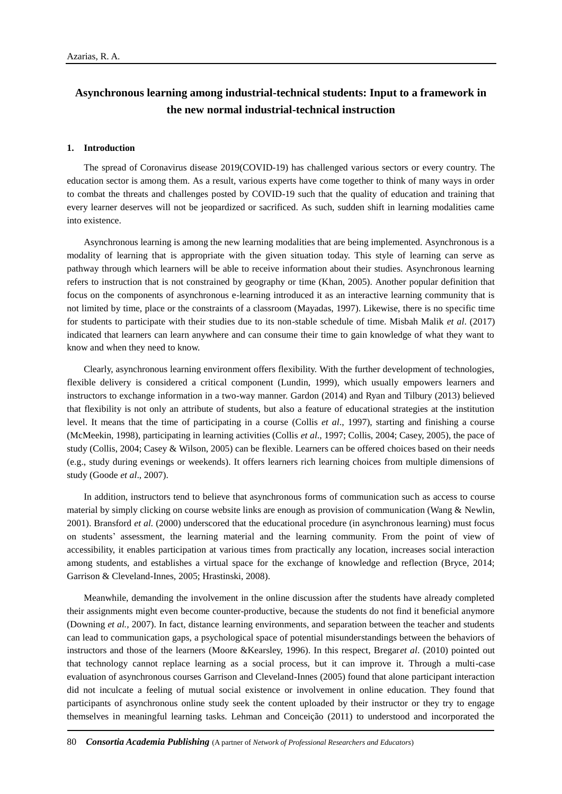# **Asynchronous learning among industrial-technical students: Input to a framework in the new normal industrial-technical instruction**

#### **1. Introduction**

The spread of Coronavirus disease 2019(COVID-19) has challenged various sectors or every country. The education sector is among them. As a result, various experts have come together to think of many ways in order to combat the threats and challenges posted by COVID-19 such that the quality of education and training that every learner deserves will not be jeopardized or sacrificed. As such, sudden shift in learning modalities came into existence.

Asynchronous learning is among the new learning modalities that are being implemented. Asynchronous is a modality of learning that is appropriate with the given situation today. This style of learning can serve as pathway through which learners will be able to receive information about their studies. Asynchronous learning refers to instruction that is not constrained by geography or time (Khan, 2005). Another popular definition that focus on the components of asynchronous e-learning introduced it as an interactive learning community that is not limited by time, place or the constraints of a classroom (Mayadas, 1997). Likewise, there is no specific time for students to participate with their studies due to its non-stable schedule of time. Misbah Malik *et al*. (2017) indicated that learners can learn anywhere and can consume their time to gain knowledge of what they want to know and when they need to know.

Clearly, asynchronous learning environment offers flexibility. With the further development of technologies, flexible delivery is considered a critical component (Lundin, 1999), which usually empowers learners and instructors to exchange information in a two-way manner. Gardon (2014) and Ryan and Tilbury (2013) believed that flexibility is not only an attribute of students, but also a feature of educational strategies at the institution level. It means that the time of participating in a course (Collis *et al*., 1997), starting and finishing a course (McMeekin, 1998), participating in learning activities (Collis *et al*., 1997; Collis, 2004; Casey, 2005), the pace of study (Collis, 2004; Casey & Wilson, 2005) can be flexible. Learners can be offered choices based on their needs (e.g., study during evenings or weekends). It offers learners rich learning choices from multiple dimensions of study (Goode *et al*., 2007).

In addition, instructors tend to believe that asynchronous forms of communication such as access to course material by simply clicking on course website links are enough as provision of communication (Wang & Newlin, 2001). Bransford *et al.* (2000) underscored that the educational procedure (in asynchronous learning) must focus on students' assessment, the learning material and the learning community. From the point of view of accessibility, it enables participation at various times from practically any location, increases social interaction among students, and establishes a virtual space for the exchange of knowledge and reflection (Bryce, 2014; Garrison & Cleveland-Innes, 2005; Hrastinski, 2008).

Meanwhile, demanding the involvement in the online discussion after the students have already completed their assignments might even become counter-productive, because the students do not find it beneficial anymore (Downing *et al.,* 2007). In fact, distance learning environments, and separation between the teacher and students can lead to communication gaps, a psychological space of potential misunderstandings between the behaviors of instructors and those of the learners (Moore &Kearsley, 1996). In this respect, Bregar*et al*. (2010) pointed out that technology cannot replace learning as a social process, but it can improve it. Through a multi-case evaluation of asynchronous courses Garrison and Cleveland-Innes (2005) found that alone participant interaction did not inculcate a feeling of mutual social existence or involvement in online education. They found that participants of asynchronous online study seek the content uploaded by their instructor or they try to engage themselves in meaningful learning tasks. Lehman and Conceição (2011) to understood and incorporated the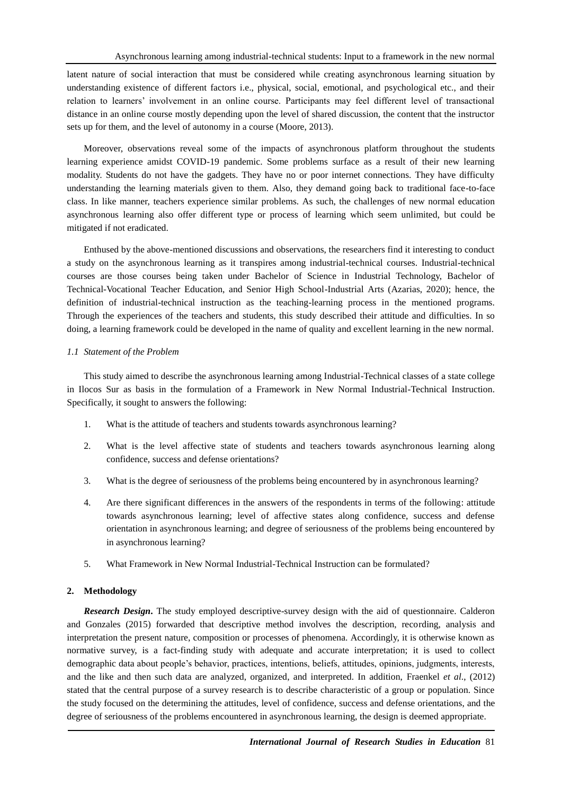latent nature of social interaction that must be considered while creating asynchronous learning situation by understanding existence of different factors i.e., physical, social, emotional, and psychological etc., and their relation to learners' involvement in an online course. Participants may feel different level of transactional distance in an online course mostly depending upon the level of shared discussion, the content that the instructor sets up for them, and the level of autonomy in a course (Moore, 2013).

Moreover, observations reveal some of the impacts of asynchronous platform throughout the students learning experience amidst COVID-19 pandemic. Some problems surface as a result of their new learning modality. Students do not have the gadgets. They have no or poor internet connections. They have difficulty understanding the learning materials given to them. Also, they demand going back to traditional face-to-face class. In like manner, teachers experience similar problems. As such, the challenges of new normal education asynchronous learning also offer different type or process of learning which seem unlimited, but could be mitigated if not eradicated.

Enthused by the above-mentioned discussions and observations, the researchers find it interesting to conduct a study on the asynchronous learning as it transpires among industrial-technical courses. Industrial-technical courses are those courses being taken under Bachelor of Science in Industrial Technology, Bachelor of Technical-Vocational Teacher Education, and Senior High School-Industrial Arts (Azarias, 2020); hence, the definition of industrial-technical instruction as the teaching-learning process in the mentioned programs. Through the experiences of the teachers and students, this study described their attitude and difficulties. In so doing, a learning framework could be developed in the name of quality and excellent learning in the new normal.

#### *1.1 Statement of the Problem*

This study aimed to describe the asynchronous learning among Industrial-Technical classes of a state college in Ilocos Sur as basis in the formulation of a Framework in New Normal Industrial-Technical Instruction. Specifically, it sought to answers the following:

- 1. What is the attitude of teachers and students towards asynchronous learning?
- 2. What is the level affective state of students and teachers towards asynchronous learning along confidence, success and defense orientations?
- 3. What is the degree of seriousness of the problems being encountered by in asynchronous learning?
- 4. Are there significant differences in the answers of the respondents in terms of the following: attitude towards asynchronous learning; level of affective states along confidence, success and defense orientation in asynchronous learning; and degree of seriousness of the problems being encountered by in asynchronous learning?
- 5. What Framework in New Normal Industrial-Technical Instruction can be formulated?

#### **2. Methodology**

*Research Design***.** The study employed descriptive-survey design with the aid of questionnaire. Calderon and Gonzales (2015) forwarded that descriptive method involves the description, recording, analysis and interpretation the present nature, composition or processes of phenomena. Accordingly, it is otherwise known as normative survey, is a fact-finding study with adequate and accurate interpretation; it is used to collect demographic data about people's behavior, practices, intentions, beliefs, attitudes, opinions, judgments, interests, and the like and then such data are analyzed, organized, and interpreted. In addition, Fraenkel *et al*., (2012) stated that the central purpose of a survey research is to describe characteristic of a group or population. Since the study focused on the determining the attitudes, level of confidence, success and defense orientations, and the degree of seriousness of the problems encountered in asynchronous learning, the design is deemed appropriate.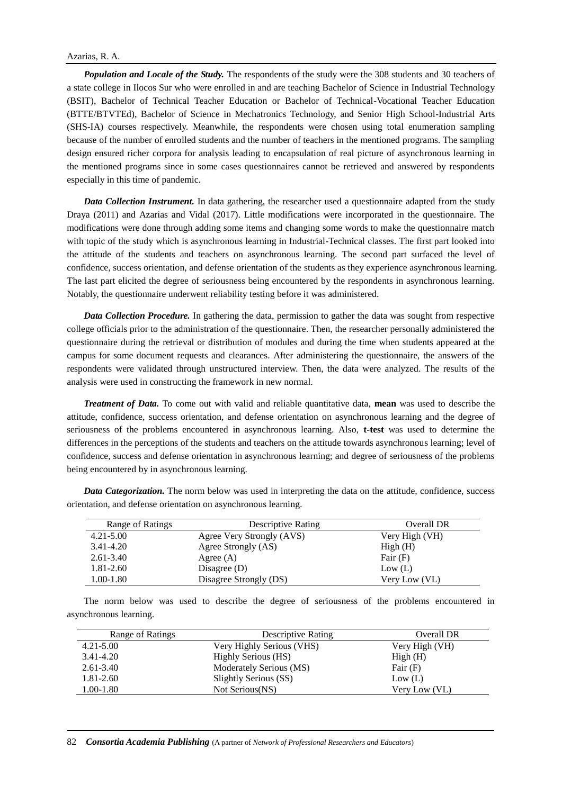*Population and Locale of the Study.* The respondents of the study were the 308 students and 30 teachers of a state college in Ilocos Sur who were enrolled in and are teaching Bachelor of Science in Industrial Technology (BSIT), Bachelor of Technical Teacher Education or Bachelor of Technical-Vocational Teacher Education (BTTE/BTVTEd), Bachelor of Science in Mechatronics Technology, and Senior High School-Industrial Arts (SHS-IA) courses respectively. Meanwhile, the respondents were chosen using total enumeration sampling because of the number of enrolled students and the number of teachers in the mentioned programs. The sampling design ensured richer corpora for analysis leading to encapsulation of real picture of asynchronous learning in the mentioned programs since in some cases questionnaires cannot be retrieved and answered by respondents especially in this time of pandemic.

*Data Collection Instrument.* In data gathering, the researcher used a questionnaire adapted from the study Draya (2011) and Azarias and Vidal (2017). Little modifications were incorporated in the questionnaire. The modifications were done through adding some items and changing some words to make the questionnaire match with topic of the study which is asynchronous learning in Industrial-Technical classes. The first part looked into the attitude of the students and teachers on asynchronous learning. The second part surfaced the level of confidence, success orientation, and defense orientation of the students as they experience asynchronous learning. The last part elicited the degree of seriousness being encountered by the respondents in asynchronous learning. Notably, the questionnaire underwent reliability testing before it was administered.

*Data Collection Procedure.* In gathering the data, permission to gather the data was sought from respective college officials prior to the administration of the questionnaire. Then, the researcher personally administered the questionnaire during the retrieval or distribution of modules and during the time when students appeared at the campus for some document requests and clearances. After administering the questionnaire, the answers of the respondents were validated through unstructured interview. Then, the data were analyzed. The results of the analysis were used in constructing the framework in new normal.

*Treatment of Data.* To come out with valid and reliable quantitative data, **mean** was used to describe the attitude, confidence, success orientation, and defense orientation on asynchronous learning and the degree of seriousness of the problems encountered in asynchronous learning. Also, **t-test** was used to determine the differences in the perceptions of the students and teachers on the attitude towards asynchronous learning; level of confidence, success and defense orientation in asynchronous learning; and degree of seriousness of the problems being encountered by in asynchronous learning.

| Range of Ratings | <b>Descriptive Rating</b> | Overall DR     |
|------------------|---------------------------|----------------|
| $4.21 - 5.00$    | Agree Very Strongly (AVS) | Very High (VH) |
| 3.41-4.20        | Agree Strongly (AS)       | High(H)        |
| $2.61 - 3.40$    | Agree $(A)$               | Fair $(F)$     |
| $1.81 - 2.60$    | Disagree $(D)$            | Low (L)        |
| $1.00 - 1.80$    | Disagree Strongly (DS)    | Very Low (VL)  |

*Data Categorization.* The norm below was used in interpreting the data on the attitude, confidence, success orientation, and defense orientation on asynchronous learning.

The norm below was used to describe the degree of seriousness of the problems encountered in asynchronous learning.

| Range of Ratings | Descriptive Rating        | Overall DR     |
|------------------|---------------------------|----------------|
| $4.21 - 5.00$    | Very Highly Serious (VHS) | Very High (VH) |
| 3.41-4.20        | Highly Serious (HS)       | High(H)        |
| $2.61 - 3.40$    | Moderately Serious (MS)   | Fair $(F)$     |
| 1.81-2.60        | Slightly Serious (SS)     | Low (L)        |
| 1.00-1.80        | Not Serious(NS)           | Very Low (VL)  |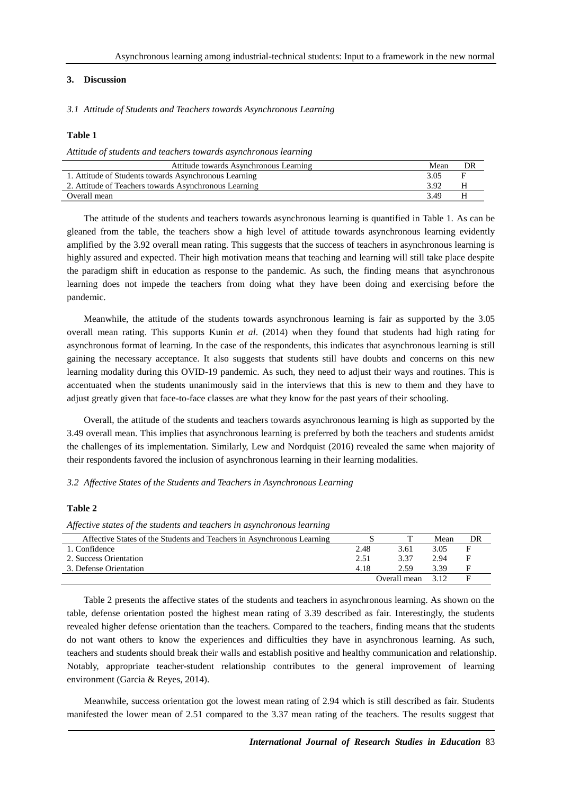## **3. Discussion**

*3.1 Attitude of Students and Teachers towards Asynchronous Learning*

### **Table 1**

*Attitude of students and teachers towards asynchronous learning*

| Attitude towards Asynchronous Learning                | Mean | DR |
|-------------------------------------------------------|------|----|
| 1. Attitude of Students towards Asynchronous Learning | 3.05 |    |
| 2. Attitude of Teachers towards Asynchronous Learning | 3.92 |    |
| Overall mean                                          | 3 49 |    |

The attitude of the students and teachers towards asynchronous learning is quantified in Table 1. As can be gleaned from the table, the teachers show a high level of attitude towards asynchronous learning evidently amplified by the 3.92 overall mean rating. This suggests that the success of teachers in asynchronous learning is highly assured and expected. Their high motivation means that teaching and learning will still take place despite the paradigm shift in education as response to the pandemic. As such, the finding means that asynchronous learning does not impede the teachers from doing what they have been doing and exercising before the pandemic.

Meanwhile, the attitude of the students towards asynchronous learning is fair as supported by the 3.05 overall mean rating. This supports Kunin *et al*. (2014) when they found that students had high rating for asynchronous format of learning. In the case of the respondents, this indicates that asynchronous learning is still gaining the necessary acceptance. It also suggests that students still have doubts and concerns on this new learning modality during this OVID-19 pandemic. As such, they need to adjust their ways and routines. This is accentuated when the students unanimously said in the interviews that this is new to them and they have to adjust greatly given that face-to-face classes are what they know for the past years of their schooling.

Overall, the attitude of the students and teachers towards asynchronous learning is high as supported by the 3.49 overall mean. This implies that asynchronous learning is preferred by both the teachers and students amidst the challenges of its implementation. Similarly, Lew and Nordquist (2016) revealed the same when majority of their respondents favored the inclusion of asynchronous learning in their learning modalities.

*3.2 Affective States of the Students and Teachers in Asynchronous Learning*

#### **Table 2**

*Affective states of the students and teachers in asynchronous learning*

| .                                                                      |      |              |      |    |
|------------------------------------------------------------------------|------|--------------|------|----|
| Affective States of the Students and Teachers in Asynchronous Learning |      |              | Mean | DR |
| 1. Confidence                                                          | 2.48 | 3.61         | 3.05 |    |
| 2. Success Orientation                                                 | 2.51 | 3.37         | 2.94 |    |
| 3. Defense Orientation                                                 | 4.18 | 2.59         | 3.39 |    |
|                                                                        |      | Overall mean | 3.12 |    |

Table 2 presents the affective states of the students and teachers in asynchronous learning. As shown on the table, defense orientation posted the highest mean rating of 3.39 described as fair. Interestingly, the students revealed higher defense orientation than the teachers. Compared to the teachers, finding means that the students do not want others to know the experiences and difficulties they have in asynchronous learning. As such, teachers and students should break their walls and establish positive and healthy communication and relationship. Notably, appropriate teacher-student relationship contributes to the general improvement of learning environment (Garcia & Reyes, 2014).

Meanwhile, success orientation got the lowest mean rating of 2.94 which is still described as fair. Students manifested the lower mean of 2.51 compared to the 3.37 mean rating of the teachers. The results suggest that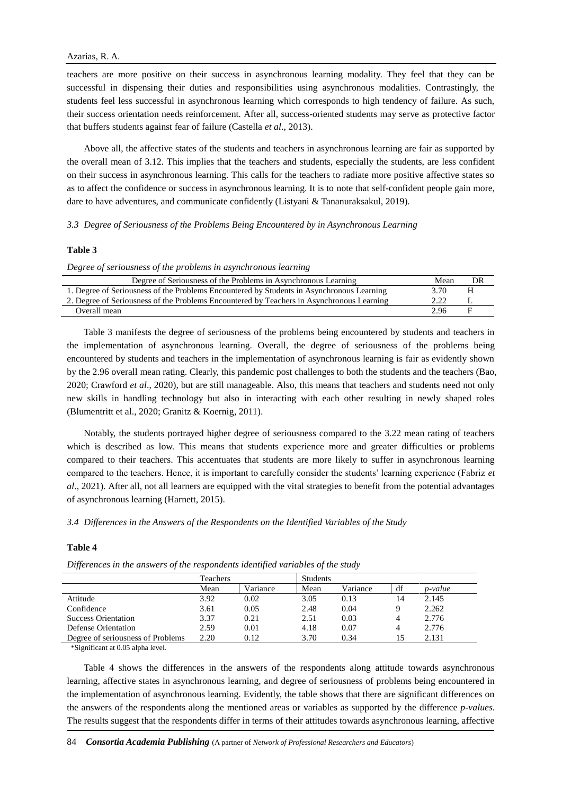teachers are more positive on their success in asynchronous learning modality. They feel that they can be successful in dispensing their duties and responsibilities using asynchronous modalities. Contrastingly, the students feel less successful in asynchronous learning which corresponds to high tendency of failure. As such, their success orientation needs reinforcement. After all, success-oriented students may serve as protective factor that buffers students against fear of failure (Castella *et al*., 2013).

Above all, the affective states of the students and teachers in asynchronous learning are fair as supported by the overall mean of 3.12. This implies that the teachers and students, especially the students, are less confident on their success in asynchronous learning. This calls for the teachers to radiate more positive affective states so as to affect the confidence or success in asynchronous learning. It is to note that self-confident people gain more, dare to have adventures, and communicate confidently (Listyani & Tananuraksakul, 2019).

*3.3 Degree of Seriousness of the Problems Being Encountered by in Asynchronous Learning*

#### **Table 3**

*Degree of seriousness of the problems in asynchronous learning*

| Degree of Seriousness of the Problems in Asynchronous Learning                            | Mean | DR |  |
|-------------------------------------------------------------------------------------------|------|----|--|
| 1. Degree of Seriousness of the Problems Encountered by Students in Asynchronous Learning | 3.70 |    |  |
| 2. Degree of Seriousness of the Problems Encountered by Teachers in Asynchronous Learning | 2.22 |    |  |
| Overall mean                                                                              | 2.96 |    |  |
|                                                                                           |      |    |  |

Table 3 manifests the degree of seriousness of the problems being encountered by students and teachers in the implementation of asynchronous learning. Overall, the degree of seriousness of the problems being encountered by students and teachers in the implementation of asynchronous learning is fair as evidently shown by the 2.96 overall mean rating. Clearly, this pandemic post challenges to both the students and the teachers (Bao, 2020; Crawford *et al*., 2020), but are still manageable. Also, this means that teachers and students need not only new skills in handling technology but also in interacting with each other resulting in newly shaped roles (Blumentritt et al., 2020; Granitz & Koernig, 2011).

Notably, the students portrayed higher degree of seriousness compared to the 3.22 mean rating of teachers which is described as low. This means that students experience more and greater difficulties or problems compared to their teachers. This accentuates that students are more likely to suffer in asynchronous learning compared to the teachers. Hence, it is important to carefully consider the students' learning experience (Fabriz *et al*., 2021). After all, not all learners are equipped with the vital strategies to benefit from the potential advantages of asynchronous learning (Harnett, 2015).

#### *3.4 Differences in the Answers of the Respondents on the Identified Variables of the Study*

#### **Table 4**

|                                   | <b>Teachers</b> |          | <b>Students</b> |          |    |         |
|-----------------------------------|-----------------|----------|-----------------|----------|----|---------|
|                                   | Mean            | Variance | Mean            | Variance | df | p-value |
| Attitude                          | 3.92            | 0.02     | 3.05            | 0.13     | 14 | 2.145   |
| Confidence                        | 3.61            | 0.05     | 2.48            | 0.04     | Q  | 2.262   |
| <b>Success Orientation</b>        | 3.37            | 0.21     | 2.51            | 0.03     | 4  | 2.776   |
| Defense Orientation               | 2.59            | 0.01     | 4.18            | 0.07     | 4  | 2.776   |
| Degree of seriousness of Problems | 2.20            | 0.12     | 3.70            | 0.34     | 15 | 2.131   |

\*Significant at 0.05 alpha level.

Table 4 shows the differences in the answers of the respondents along attitude towards asynchronous learning, affective states in asynchronous learning, and degree of seriousness of problems being encountered in the implementation of asynchronous learning. Evidently, the table shows that there are significant differences on the answers of the respondents along the mentioned areas or variables as supported by the difference *p-values*. The results suggest that the respondents differ in terms of their attitudes towards asynchronous learning, affective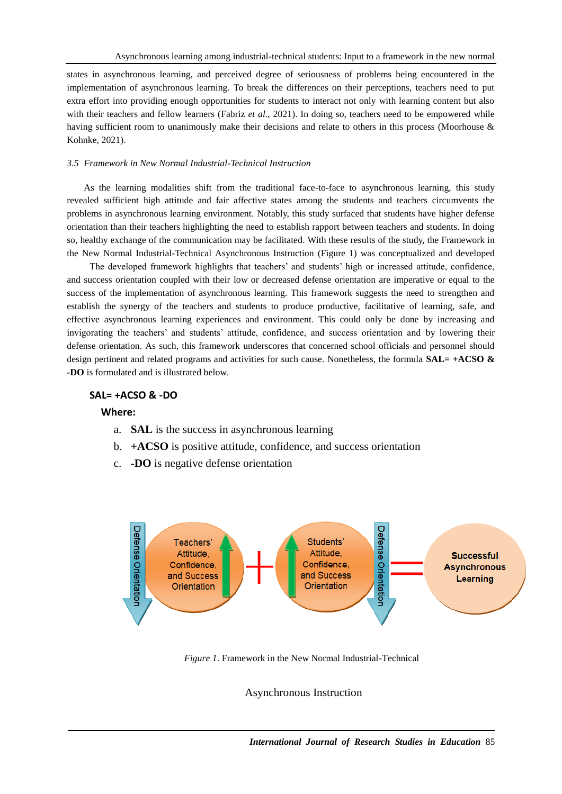states in asynchronous learning, and perceived degree of seriousness of problems being encountered in the implementation of asynchronous learning. To break the differences on their perceptions, teachers need to put extra effort into providing enough opportunities for students to interact not only with learning content but also with their teachers and fellow learners (Fabriz *et al.*, 2021). In doing so, teachers need to be empowered while having sufficient room to unanimously make their decisions and relate to others in this process (Moorhouse & Kohnke, 2021).

## *3.5 Framework in New Normal Industrial-Technical Instruction*

As the learning modalities shift from the traditional face-to-face to asynchronous learning, this study revealed sufficient high attitude and fair affective states among the students and teachers circumvents the problems in asynchronous learning environment. Notably, this study surfaced that students have higher defense orientation than their teachers highlighting the need to establish rapport between teachers and students. In doing so, healthy exchange of the communication may be facilitated. With these results of the study, the Framework in the New Normal Industrial-Technical Asynchronous Instruction (Figure 1) was conceptualized and developed

The developed framework highlights that teachers' and students' high or increased attitude, confidence, and success orientation coupled with their low or decreased defense orientation are imperative or equal to the success of the implementation of asynchronous learning. This framework suggests the need to strengthen and establish the synergy of the teachers and students to produce productive, facilitative of learning, safe, and effective asynchronous learning experiences and environment. This could only be done by increasing and invigorating the teachers' and students' attitude, confidence, and success orientation and by lowering their defense orientation. As such, this framework underscores that concerned school officials and personnel should design pertinent and related programs and activities for such cause. Nonetheless, the formula **SAL= +ACSO & -DO** is formulated and is illustrated below.

## **SAL= +ACSO & -DO**

### **Where:**

- a. **SAL** is the success in asynchronous learning
- b. **+ACSO** is positive attitude, confidence, and success orientation
- c. **-DO** is negative defense orientation



*Figure 1*. Framework in the New Normal Industrial-Technical

Asynchronous Instruction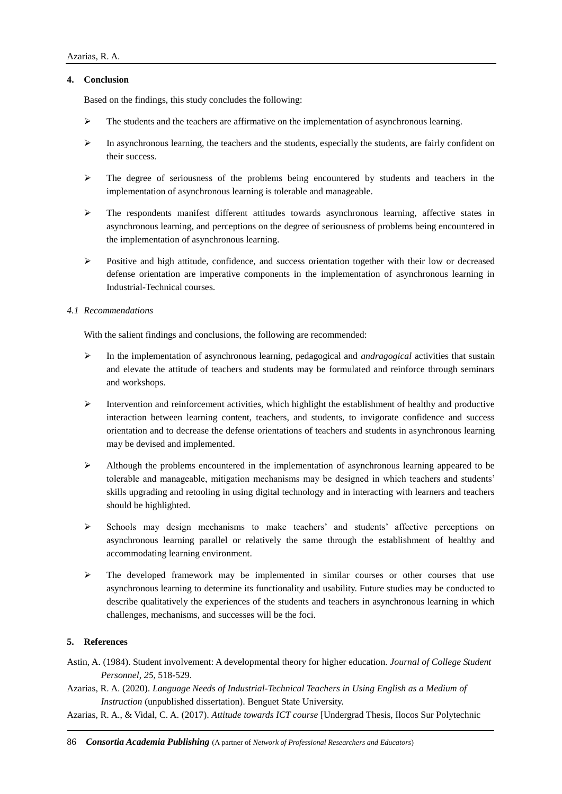## **4. Conclusion**

Based on the findings, this study concludes the following:

- $\triangleright$  The students and the teachers are affirmative on the implementation of asynchronous learning.
- $\triangleright$  In asynchronous learning, the teachers and the students, especially the students, are fairly confident on their success.
- $\triangleright$  The degree of seriousness of the problems being encountered by students and teachers in the implementation of asynchronous learning is tolerable and manageable.
- $\triangleright$  The respondents manifest different attitudes towards asynchronous learning, affective states in asynchronous learning, and perceptions on the degree of seriousness of problems being encountered in the implementation of asynchronous learning.
- $\triangleright$  Positive and high attitude, confidence, and success orientation together with their low or decreased defense orientation are imperative components in the implementation of asynchronous learning in Industrial-Technical courses.

## *4.1 Recommendations*

With the salient findings and conclusions, the following are recommended:

- $\triangleright$  In the implementation of asynchronous learning, pedagogical and *andragogical* activities that sustain and elevate the attitude of teachers and students may be formulated and reinforce through seminars and workshops.
- $\triangleright$  Intervention and reinforcement activities, which highlight the establishment of healthy and productive interaction between learning content, teachers, and students, to invigorate confidence and success orientation and to decrease the defense orientations of teachers and students in asynchronous learning may be devised and implemented.
- $\triangleright$  Although the problems encountered in the implementation of asynchronous learning appeared to be tolerable and manageable, mitigation mechanisms may be designed in which teachers and students' skills upgrading and retooling in using digital technology and in interacting with learners and teachers should be highlighted.
- $\triangleright$  Schools may design mechanisms to make teachers' and students' affective perceptions on asynchronous learning parallel or relatively the same through the establishment of healthy and accommodating learning environment.
- $\triangleright$  The developed framework may be implemented in similar courses or other courses that use asynchronous learning to determine its functionality and usability. Future studies may be conducted to describe qualitatively the experiences of the students and teachers in asynchronous learning in which challenges, mechanisms, and successes will be the foci.

## **5. References**

- Astin, A. (1984). Student involvement: A developmental theory for higher education. *Journal of College Student Personnel*, *25*, 518-529.
- Azarias, R. A. (2020). *Language Needs of Industrial-Technical Teachers in Using English as a Medium of Instruction* (unpublished dissertation). Benguet State University.
- Azarias, R. A., & Vidal, C. A. (2017). *Attitude towards ICT course* [Undergrad Thesis, Ilocos Sur Polytechnic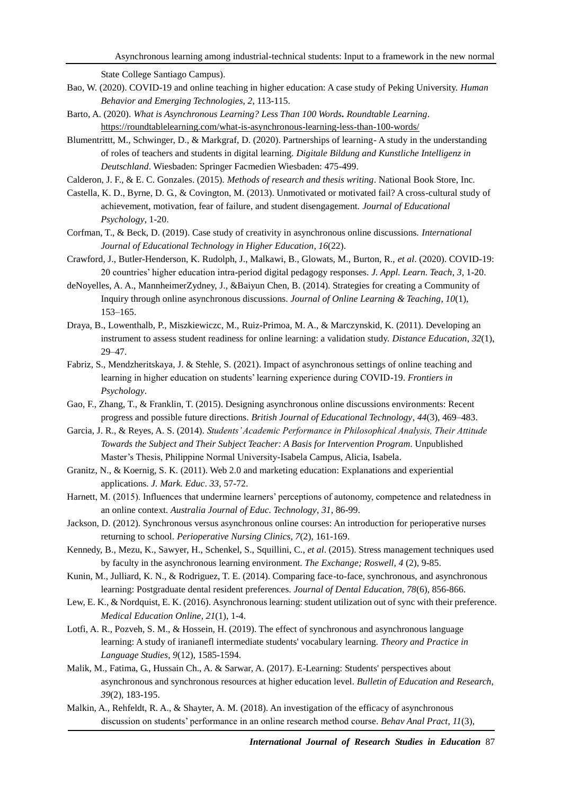State College Santiago Campus).

- Bao, W. (2020). COVID-19 and online teaching in higher education: A case study of Peking University. *Human Behavior and Emerging Technologies*, *2*, 113-115.
- Barto, A. (2020). *What is Asynchronous Learning? Less Than 100 Words. Roundtable Learning*. <https://roundtablelearning.com/what-is-asynchronous-learning-less-than-100-words/>
- Blumentrittt, M., Schwinger, D., & Markgraf, D. (2020). Partnerships of learning- A study in the understanding of roles of teachers and students in digital learning. *Digitale Bildung and Kunstliche Intelligenz in Deutschland*. Wiesbaden: Springer Facmedien Wiesbaden: 475-499.
- Calderon, J. F., & E. C. Gonzales. (2015). *Methods of research and thesis writing*. National Book Store, Inc.
- Castella, K. D., Byrne, D. G., & Covington, M. (2013). Unmotivated or motivated fail? A cross-cultural study of achievement, motivation, fear of failure, and student disengagement. *Journal of Educational Psychology*, 1-20.
- Corfman, T., & Beck, D. (2019). Case study of creativity in asynchronous online discussions. *International Journal of Educational Technology in Higher Education*, *16*(22).
- Crawford, J., Butler-Henderson, K. Rudolph, J., Malkawi, B., Glowats, M., Burton, R., *et al*. (2020). COVID-19: 20 countries' higher education intra-period digital pedagogy responses. *J. Appl. Learn. Teach*, *3*, 1-20.
- deNoyelles, A. A., MannheimerZydney, J., &Baiyun Chen, B. (2014). Strategies for creating a Community of Inquiry through online asynchronous discussions. *Journal of Online Learning & Teaching*, *10*(1), 153–165.
- Draya, B., Lowenthalb, P., Miszkiewiczc, M., Ruiz-Primoa, M. A., & Marczynskid, K. (2011). Developing an instrument to assess student readiness for online learning: a validation study. *Distance Education*, *32*(1), 29–47.
- Fabriz, S., Mendzheritskaya, J. & Stehle, S. (2021). Impact of asynchronous settings of online teaching and learning in higher education on students' learning experience during COVID-19. *Frontiers in Psychology*.
- Gao, F., Zhang, T., & Franklin, T. (2015). Designing asynchronous online discussions environments: Recent progress and possible future directions. *British Journal of Educational Technology*, *44*(3), 469–483.
- Garcia, J. R., & Reyes, A. S. (2014). *Students' Academic Performance in Philosophical Analysis, Their Attitude Towards the Subject and Their Subject Teacher: A Basis for Intervention Program*. Unpublished Master's Thesis, Philippine Normal University-Isabela Campus, Alicia, Isabela.
- Granitz, N., & Koernig, S. K. (2011). Web 2.0 and marketing education: Explanations and experiential applications. *J. Mark. Educ*. *33*, 57-72.
- Harnett, M. (2015). Influences that undermine learners' perceptions of autonomy, competence and relatedness in an online context. *Australia Journal of Educ. Technology*, *31*, 86-99.
- Jackson, D. (2012). Synchronous versus asynchronous online courses: An introduction for perioperative nurses returning to school. *Perioperative Nursing Clinics, 7*(2), 161-169.
- Kennedy, B., Mezu, K., Sawyer, H., Schenkel, S., Squillini, C., *et al*. (2015). Stress management techniques used by faculty in the asynchronous learning environment. *[The Exchange;](https://search.proquest.com/pubidlinkhandler/sng/pubtitle/The+Exchange/$N/2035042/DocView/1818006856/fulltext/2F6BFED9CA644B46PQ/13?accountid=47253) Roswell, 4* (2), 9-85.
- Kunin, M., Julliard, K. N., & Rodriguez, T. E. (2014). Comparing face-to-face, synchronous, and asynchronous learning: Postgraduate dental resident preferences. *Journal of Dental Education, 78*(6), 856-866.
- [Lew, E. K.,](https://search.proquest.com/indexinglinkhandler/sng/au/Lew,+Edward+K/$N?accountid=47253) [& Nordquist, E. K.](https://search.proquest.com/indexinglinkhandler/sng/au/Nordquist,+Erik+K/$N?accountid=47253) (2016). Asynchronous learning: student utilization out of sync with their preference. *[Medical Education Online](https://search.proquest.com/pubidlinkhandler/sng/pubtitle/Medical+Education+Online/$N/2030042/DocView/2027013468/fulltext/246F53709B9D4B3APQ/22?accountid=47253)*, *21*(1), 1-4.
- Lotfi, A. R., Pozveh, S. M., & Hossein, H. (2019). The effect of synchronous and asynchronous language learning: A study of iranianefl intermediate students' vocabulary learning. *Theory and Practice in Language Studies*, *9*(12), 1585-1594.
- Malik, M., Fatima, G., Hussain Ch., A. & Sarwar, A. (2017). E-Learning: Students' perspectives about asynchronous and synchronous resources at higher education level. *Bulletin of Education and Research, 39*(2), 183-195.
- Malkin, A., Rehfeldt, R. A., & Shayter, A. M. (2018). An investigation of the efficacy of asynchronous discussion on students' performance in an online research method course. *Behav Anal Pract*, *11*(3),